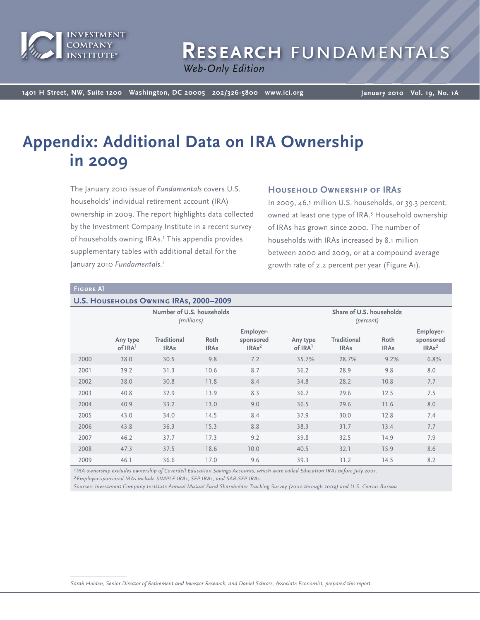

# RESEARCH FUNDAMENTAL

*Web Only Web-Only Edition*

**1401 H Street, NW, Suite 1200 Washington, DC 20005 202/326-5800 www.ici.org**

**January 2010 Vol. 19, No. 1A**

# **Appendix: Additional Data on IRA Ownership in 2009**

The January 2010 issue of *Fundamentals* covers U.S. households' individual retirement account (IRA) ownership in 2009. The report highlights data collected by the Investment Company Institute in a recent survey of households owning IRAs.<sup>1</sup> This appendix provides supplementary tables with additional detail for the January 2010 *Fundamentals*. 2

# **Household Ownership of IRAs**

In 2009, 46.1 million U.S. households, or 39.3 percent, owned at least one type of IRA.<sup>3</sup> Household ownership of IRAs has grown since 2000. The number of households with IRAs increased by 8.1 million between 2000 and 2009, or at a compound average growth rate of 2.2 percent per year (Figure A1).

#### **Figure A1**

#### **U.S. Households Owning IRAs, 2000–2009**

|      | Number of U.S. households<br>(millions) |                                   |                     |                                             | Share of U.S. households<br>(percent) |                                   |                     |                                             |
|------|-----------------------------------------|-----------------------------------|---------------------|---------------------------------------------|---------------------------------------|-----------------------------------|---------------------|---------------------------------------------|
|      | Any type<br>of IRA <sup>1</sup>         | <b>Traditional</b><br><b>IRAs</b> | Roth<br><b>IRAs</b> | Employer-<br>sponsored<br>IRAs <sup>2</sup> | Any type<br>of IRA <sup>1</sup>       | <b>Traditional</b><br><b>IRAs</b> | Roth<br><b>IRAs</b> | Employer-<br>sponsored<br>IRAs <sup>2</sup> |
| 2000 | 38.0                                    | 30.5                              | 9.8                 | 7.2                                         | 35.7%                                 | 28.7%                             | 9.2%                | 6.8%                                        |
| 2001 | 39.2                                    | 31.3                              | 10.6                | 8.7                                         | 36.2                                  | 28.9                              | 9.8                 | 8.0                                         |
| 2002 | 38.0                                    | 30.8                              | 11.8                | 8.4                                         | 34.8                                  | 28.2                              | 10.8                | 7.7                                         |
| 2003 | 40.8                                    | 32.9                              | 13.9                | 8.3                                         | 36.7                                  | 29.6                              | 12.5                | 7.5                                         |
| 2004 | 40.9                                    | 33.2                              | 13.0                | 9.0                                         | 36.5                                  | 29.6                              | 11.6                | 8.0                                         |
| 2005 | 43.0                                    | 34.0                              | 14.5                | 8.4                                         | 37.9                                  | 30.0                              | 12.8                | 7.4                                         |
| 2006 | 43.8                                    | 36.3                              | 15.3                | 8.8                                         | 38.3                                  | 31.7                              | 13.4                | 7.7                                         |
| 2007 | 46.2                                    | 37.7                              | 17.3                | 9.2                                         | 39.8                                  | 32.5                              | 14.9                | 7.9                                         |
| 2008 | 47.3                                    | 37.5                              | 18.6                | 10.0                                        | 40.5                                  | 32.1                              | 15.9                | 8.6                                         |
| 2009 | 46.1                                    | 36.6                              | 17.0                | 9.6                                         | 39.3                                  | 31.2                              | 14.5                | 8.2                                         |

*1IRA ownership excludes ownership of Coverdell Education Savings Accounts, which were called Education IRAs before July 2001.*

*2Employer-sponsored IRAs include SIMPLE IRAs, SEP IRAs, and SAR-SEP IRAs.*

*Sources: Investment Company Institute Annual Mutual Fund Shareholder Tracking Survey (2000 through 2009) and U.S. Census Bureau*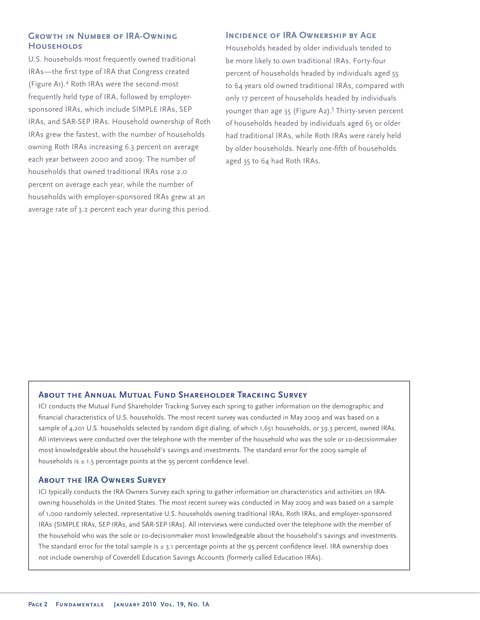# **GROWTH IN NUMBER OF IRA-OWNING Households**

U.S. households most frequently owned traditional IRAs—the first type of IRA that Congress created (Figure A1).<sup>4</sup> Roth IRAs were the second-most frequently held type of IRA, followed by employersponsored IRAs, which include SIMPLE IRAs, SEP IRAs, and SAR-SEP IRAs. Household ownership of Roth IRAs grew the fastest, with the number of households owning Roth IRAs increasing 6.3 percent on average each year between 2000 and 2009. The number of households that owned traditional IRAs rose 2.0 percent on average each year, while the number of households with employer-sponsored IRAs grew at an average rate of 3.2 percent each year during this period.

# **INCIDENCE OF IRA OWNERSHIP BY AGE**

Households headed by older individuals tended to be more likely to own traditional IRAs. Forty-four percent of households headed by individuals aged 55 to 64 years old owned traditional IRAs, compared with only 17 percent of households headed by individuals younger than age 35 (Figure A2).<sup>5</sup> Thirty-seven percent of households headed by individuals aged 65 or older had traditional IRAs, while Roth IRAs were rarely held by older households. Nearly one-fifth of households aged 35 to 64 had Roth IRAs.

# **About the Annual Mutual Fund Shareholder Tracking Survey**

ICI conducts the Mutual Fund Shareholder Tracking Survey each spring to gather information on the demographic and financial characteristics of U.S. households. The most recent survey was conducted in May 2009 and was based on a sample of 4,201 U.S. households selected by random digit dialing, of which 1,651 households, or 39.3 percent, owned IRAs. All interviews were conducted over the telephone with the member of the household who was the sole or co-decisionmaker most knowledgeable about the household's savings and investments. The standard error for the 2009 sample of households is  $\pm$  1.5 percentage points at the 95 percent confidence level.

#### **About the IRA Owners Survey**

ICI typically conducts the IRA Owners Survey each spring to gather information on characteristics and activities on IRAowning households in the United States. The most recent survey was conducted in May 2009 and was based on a sample of 1,000 randomly selected, representative U.S. households owning traditional IRAs, Roth IRAs, and employer-sponsored IRAs (SIMPLE IRAs, SEP IRAs, and SAR-SEP IRAs). All interviews were conducted over the telephone with the member of the household who was the sole or co-decisionmaker most knowledgeable about the household's savings and investments. The standard error for the total sample is  $\pm$  3.1 percentage points at the 95 percent confidence level. IRA ownership does not include ownership of Coverdell Education Savings Accounts (formerly called Education IRAs).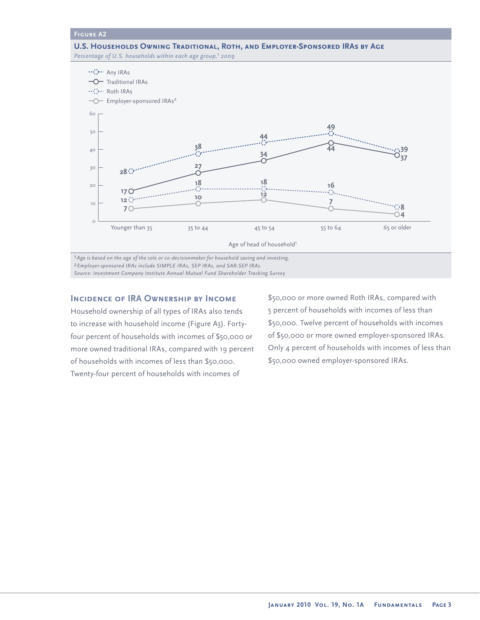#### **Figure A2**

**U.S. Households Owning Traditional, Roth, and Employer-Sponsored IRAs by Age** Percentage of U.S. households within each age group,<sup>1</sup> 2009



*1Age is based on the age of the sole or co-decisionmaker for household saving and investing. 2Employer-sponsored IRAs include SIMPLE IRAs, SEP IRAs, and SAR-SEP IRAs. Source: Investment Company Institute Annual Mutual Fund Shareholder Tracking Survey* 

# **Incidence of IRA Ownership by Income**

Household ownership of all types of IRAs also tends to increase with household income (Figure A3). Fortyfour percent of households with incomes of \$50,000 or more owned traditional IRAs, compared with 19 percent of households with incomes of less than \$50,000. Twenty-four percent of households with incomes of

\$50,000 or more owned Roth IRAs, compared with 5 percent of households with incomes of less than \$50,000. Twelve percent of households with incomes of \$50,000 or more owned employer-sponsored IRAs. Only 4 percent of households with incomes of less than \$50,000 owned employer-sponsored IRAs.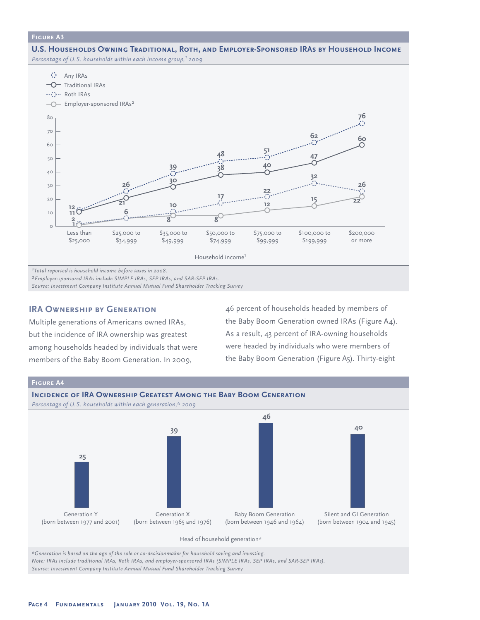#### **Figure A3**

**U.S. Households Owning Traditional, Roth, and Employer-Sponsored IRAs by Household Income** *Percentage of U.S. households within each income group,1 2009* 



*2Employer-sponsored IRAs include SIMPLE IRAs, SEP IRAs, and SAR-SEP IRAs.*

*Source: Investment Company Institute Annual Mutual Fund Shareholder Tracking Survey* 

# **IRA OWNERSHIP BY GENERATION**

Multiple generations of Americans owned IRAs, but the incidence of IRA ownership was greatest among households headed by individuals that were members of the Baby Boom Generation. In 2009,

46 percent of households headed by members of the Baby Boom Generation owned IRAs (Figure A4). As a result, 43 percent of IRA-owning households were headed by individuals who were members of the Baby Boom Generation (Figure A5). Thirty-eight



*\*Generation is based on the age of the sole or co-decisionmaker for household saving and investing.*

*Note: IRAs include traditional IRAs, Roth IRAs, and employer-sponsored IRAs (SIMPLE IRAs, SEP IRAs, and SAR-SEP IRAs). Source: Investment Company Institute Annual Mutual Fund Shareholder Tracking Survey*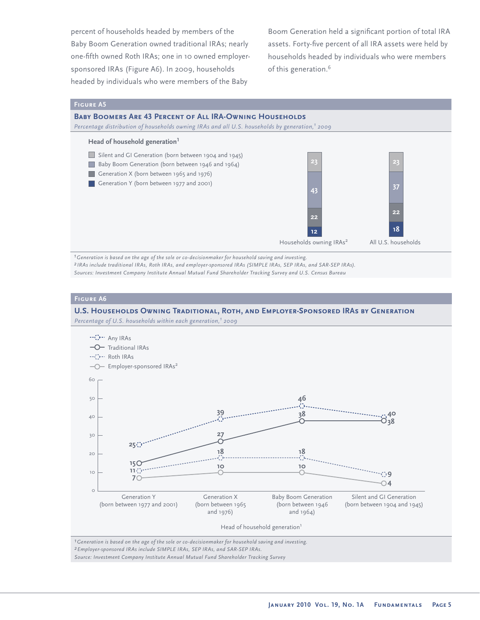percent of households headed by members of the Baby Boom Generation owned traditional IRAs; nearly one-fifth owned Roth IRAs; one in 10 owned employersponsored IRAs (Figure A6). In 2009, households headed by individuals who were members of the Baby

Boom Generation held a significant portion of total IRA assets. Forty-five percent of all IRA assets were held by households headed by individuals who were members of this generation.<sup>6</sup>

#### **Figure A5**

#### **Baby Boomers Are 43 Percent of All IRA-Owning Households**

*Percentage distribution of households owning IRAs and all U.S. households by generation,1 2009*



*1Generation is based on the age of the sole or co-decisionmaker for household saving and investing. 2 IRAs include traditional IRAs, Roth IRAs, and employer-sponsored IRAs (SIMPLE IRAs, SEP IRAs, and SAR-SEP IRAs). Sources: Investment Company Institute Annual Mutual Fund Shareholder Tracking Survey and U.S. Census Bureau* 

#### **Figure A6**

# **U.S. Households Owning Traditional, Roth, and Employer-Sponsored IRAs by Generation**

*Percentage of U.S. households within each generation,1 2009*



*1Generation is based on the age of the sole or co-decisionmaker for household saving and investing. 2Employer-sponsored IRAs include SIMPLE IRAs, SEP IRAs, and SAR-SEP IRAs. Source: Investment Company Institute Annual Mutual Fund Shareholder Tracking Survey*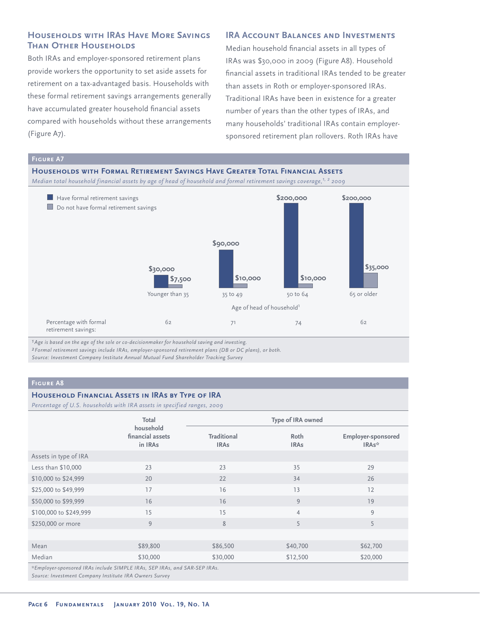# **Households with IRAs Have More Savings Than Other Households**

Both IRAs and employer-sponsored retirement plans provide workers the opportunity to set aside assets for retirement on a tax-advantaged basis. Households with these formal retirement savings arrangements generally have accumulated greater household financial assets compared with households without these arrangements (Figure A7).

## **IRA ACCOUNT BALANCES AND INVESTMENTS**

Median household financial assets in all types of IRAs was \$30,000 in 2009 (Figure A8). Household financial assets in traditional IRAs tended to be greater than assets in Roth or employer-sponsored IRAs. Traditional IRAs have been in existence for a greater number of years than the other types of IRAs, and many households' traditional IRAs contain employersponsored retirement plan rollovers. Roth IRAs have



*1Age is based on the age of the sole or co-decisionmaker for household saving and investing.*

*2Formal retirement savings include IRAs, employer-sponsored retirement plans (DB or DC plans), or both. Source: Investment Company Institute Annual Mutual Fund Shareholder Tracking Survey* 

# **Figure A8**

#### **Household Financial Assets in IRAs by Type of IRA**

*Percentage of U.S. households with IRA assets in specified ranges, 2009*

|                                                                           | Total                                    |                                   | Type of IRA owned   |                                          |  |  |  |
|---------------------------------------------------------------------------|------------------------------------------|-----------------------------------|---------------------|------------------------------------------|--|--|--|
|                                                                           | household<br>financial assets<br>in IRAs | <b>Traditional</b><br><b>IRAs</b> | Roth<br><b>IRAs</b> | Employer-sponsored<br>IRA <sub>s</sub> * |  |  |  |
| Assets in type of IRA                                                     |                                          |                                   |                     |                                          |  |  |  |
| Less than \$10,000                                                        | 23                                       | 23                                | 35                  | 29                                       |  |  |  |
| \$10,000 to \$24,999                                                      | 20                                       | 22                                | 34                  | 26                                       |  |  |  |
| \$25,000 to \$49,999                                                      | 17                                       | 16                                | 13                  | 12                                       |  |  |  |
| \$50,000 to \$99,999                                                      | 16                                       | 16                                | 9                   | 19                                       |  |  |  |
| \$100,000 to \$249,999                                                    | 15                                       | 15                                | $\overline{4}$      | 9                                        |  |  |  |
| \$250,000 or more                                                         | 9                                        | 8                                 | 5                   | 5                                        |  |  |  |
|                                                                           |                                          |                                   |                     |                                          |  |  |  |
| Mean                                                                      | \$89,800                                 | \$86,500                          | \$40,700            | \$62,700                                 |  |  |  |
| Median                                                                    | \$30,000                                 | \$30,000                          | \$12,500            | \$20,000                                 |  |  |  |
| *Employer-sponsored IRAs include SIMPLE IRAs, SEP IRAs, and SAR-SEP IRAs. |                                          |                                   |                     |                                          |  |  |  |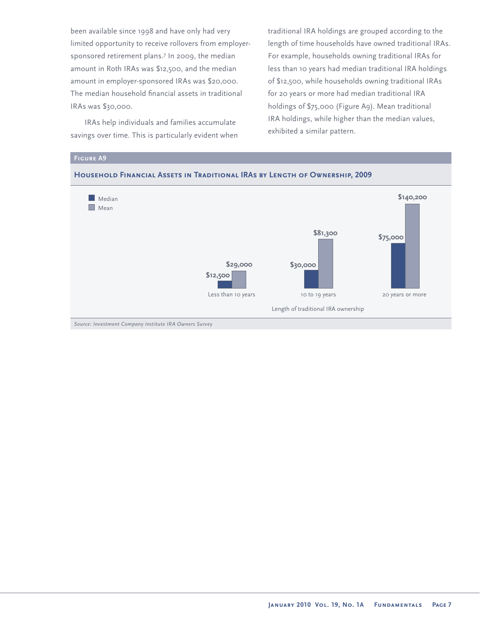been available since 1998 and have only had very limited opportunity to receive rollovers from employersponsored retirement plans.<sup>7</sup> In 2009, the median amount in Roth IRAs was \$12,500, and the median amount in employer-sponsored IRAs was \$20,000. The median household financial assets in traditional IRAs was \$30,000.

IRAs help individuals and families accumulate savings over time. This is particularly evident when traditional IRA holdings are grouped according to the length of time households have owned traditional IRAs. For example, households owning traditional IRAs for less than 10 years had median traditional IRA holdings of \$12,500, while households owning traditional IRAs for 20 years or more had median traditional IRA holdings of \$75,000 (Figure A9). Mean traditional IRA holdings, while higher than the median values, exhibited a similar pattern.

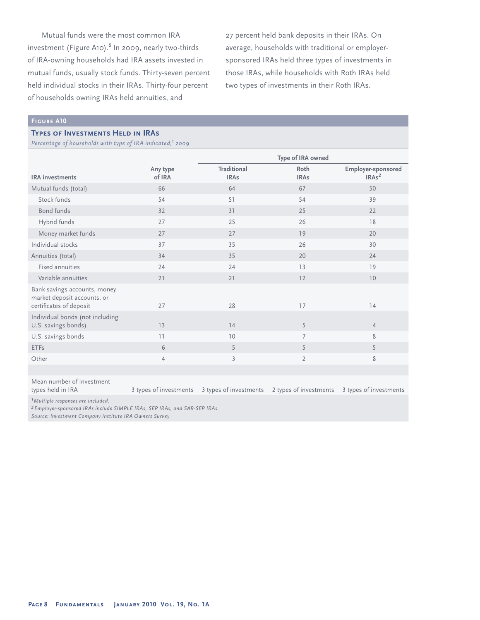Mutual funds were the most common IRA  $i$ nvestment (Figure A10). $8$  In 2009, nearly two-thirds of IRA-owning households had IRA assets invested in mutual funds, usually stock funds. Thirty-seven percent held individual stocks in their IRAs. Thirty-four percent of households owning IRAs held annuities, and

27 percent held bank deposits in their IRAs. On average, households with traditional or employersponsored IRAs held three types of investments in those IRAs, while households with Roth IRAs held two types of investments in their Roth IRAs.

#### **Figure A10**

#### **Types of Investments Held in IRAs**

*Percentage of households with type of IRA indicated,1 2009*

|                                                                                                                                        |                        | Type of IRA owned                             |                     |                                         |  |
|----------------------------------------------------------------------------------------------------------------------------------------|------------------------|-----------------------------------------------|---------------------|-----------------------------------------|--|
| <b>IRA</b> investments                                                                                                                 | Any type<br>of IRA     | <b>Traditional</b><br><b>IRAs</b>             | Roth<br><b>IRAs</b> | Employer-sponsored<br>IRAs <sup>2</sup> |  |
| Mutual funds (total)                                                                                                                   | 66                     | 64                                            | 67                  | 50                                      |  |
| Stock funds                                                                                                                            | 54                     | 51                                            | 54                  | 39                                      |  |
| <b>Bond funds</b>                                                                                                                      | 32                     | 31                                            | 25                  | 22                                      |  |
| Hybrid funds                                                                                                                           | 27                     | 25                                            | 26                  | 18                                      |  |
| Money market funds                                                                                                                     | 27                     | 27                                            | 19                  | 20                                      |  |
| Individual stocks                                                                                                                      | 37                     | 35                                            | 26                  | 30                                      |  |
| Annuities (total)                                                                                                                      | 34                     | 35                                            | 20                  | 24                                      |  |
| Fixed annuities                                                                                                                        | 24                     | 24                                            | 13                  | 19                                      |  |
| Variable annuities                                                                                                                     | 21                     | 21                                            | 12                  | 10                                      |  |
| Bank savings accounts, money<br>market deposit accounts, or<br>certificates of deposit                                                 | 27                     | 28                                            | 17                  | 14                                      |  |
| Individual bonds (not including<br>U.S. savings bonds)                                                                                 | 13                     | 14                                            | 5                   | $\overline{4}$                          |  |
| U.S. savings bonds                                                                                                                     | 11                     | 10                                            | 7                   | 8                                       |  |
| <b>ETFs</b>                                                                                                                            | 6                      | 5                                             | 5                   | 5                                       |  |
| Other                                                                                                                                  | $\overline{4}$         | $\overline{3}$                                | $\overline{2}$      | $\,$ 8 $\,$                             |  |
|                                                                                                                                        |                        |                                               |                     |                                         |  |
| Mean number of investment<br>types held in IRA                                                                                         | 3 types of investments | 3 types of investments 2 types of investments |                     | 3 types of investments                  |  |
| <sup>1</sup> Multiple responses are included.<br><sup>2</sup> Employer-sponsored IRAs include SIMPLE IRAs, SEP IRAs, and SAR-SEP IRAs. |                        |                                               |                     |                                         |  |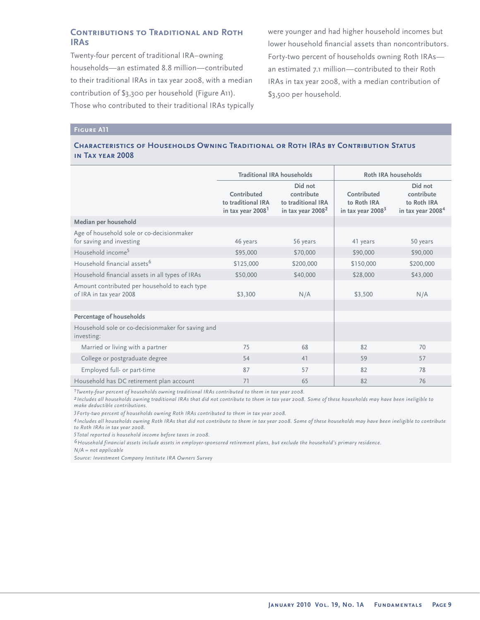# **Contributions to Traditional and Roth IRAs**

Twenty-four percent of traditional IRA–owning households—an estimated 8.8 million—contributed to their traditional IRAs in tax year 2008, with a median contribution of \$3,300 per household (Figure A11). Those who contributed to their traditional IRAs typically were younger and had higher household incomes but lower household financial assets than noncontributors. Forty-two percent of households owning Roth IRAs an estimated 7.1 million—contributed to their Roth IRAs in tax year 2008, with a median contribution of \$3,500 per household.

## **Figure A11**

#### **Characteristics of Households Owning Traditional or Roth IRAs by Contribution Status in Tax year 2008**

|                                                                          | <b>Traditional IRA households</b>                                  |                                                                              | Roth IRA households                               |                                                                       |
|--------------------------------------------------------------------------|--------------------------------------------------------------------|------------------------------------------------------------------------------|---------------------------------------------------|-----------------------------------------------------------------------|
|                                                                          | Contributed<br>to traditional IRA<br>in tax year 2008 <sup>1</sup> | Did not<br>contribute<br>to traditional IRA<br>in tax year 2008 <sup>2</sup> | Contributed<br>to Roth IRA<br>in tax year $20083$ | Did not<br>contribute<br>to Roth IRA<br>in tax year 2008 <sup>4</sup> |
| Median per household                                                     |                                                                    |                                                                              |                                                   |                                                                       |
| Age of household sole or co-decisionmaker<br>for saving and investing    | 46 years                                                           | 56 years                                                                     | 41 years                                          | 50 years                                                              |
| Household income <sup>5</sup>                                            | \$95,000                                                           | \$70,000                                                                     | \$90,000                                          | \$90,000                                                              |
| Household financial assets <sup>6</sup>                                  | \$125,000                                                          | \$200,000                                                                    | \$150,000                                         | \$200,000                                                             |
| Household financial assets in all types of IRAs                          | \$50,000                                                           | \$40,000                                                                     | \$28,000                                          | \$43,000                                                              |
| Amount contributed per household to each type<br>of IRA in tax year 2008 | \$3,300                                                            | N/A                                                                          | \$3,500                                           | N/A                                                                   |
|                                                                          |                                                                    |                                                                              |                                                   |                                                                       |
| Percentage of households                                                 |                                                                    |                                                                              |                                                   |                                                                       |
| Household sole or co-decisionmaker for saving and<br>investing:          |                                                                    |                                                                              |                                                   |                                                                       |
| Married or living with a partner                                         | 75                                                                 | 68                                                                           | 82                                                | 70                                                                    |
| College or postgraduate degree                                           | 54                                                                 | 41                                                                           | 59                                                | 57                                                                    |
| Employed full- or part-time                                              | 87                                                                 | 57                                                                           | 82                                                | 78                                                                    |
| Household has DC retirement plan account                                 | 71                                                                 | 65                                                                           | 82                                                | 76                                                                    |

*1Twenty-four percent of households owning traditional IRAs contributed to them in tax year 2008.*

*2 Includes all households owning traditional IRAs that did not contribute to them in tax year 2008. Some of these households may have been ineligible to make deductible contributions.*

*3Forty-two percent of households owning Roth IRAs contributed to them in tax year 2008.*

*4Includes all households owning Roth IRAs that did not contribute to them in tax year 2008. Some of these households may have been ineligible to contribute to Roth IRAs in tax year 2008.* 

*5Total reported is household income before taxes in 2008.*

*6Household financial assets include assets in employer-sponsored retirement plans, but exclude the household's primary residence.*

*N/A = not applicable*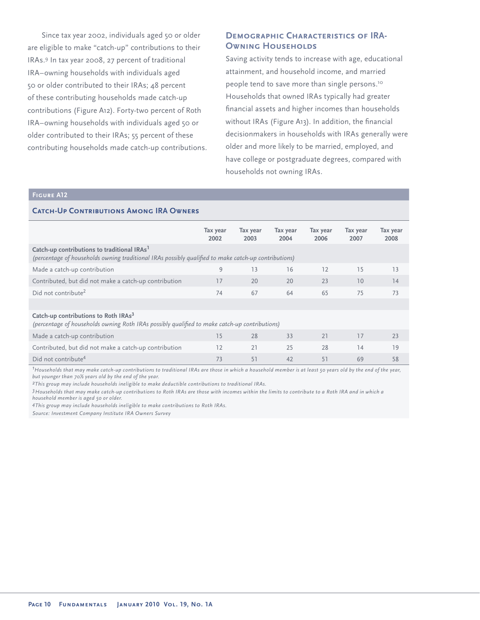Since tax year 2002, individuals aged 50 or older are eligible to make "catch-up" contributions to their IRAs.<sup>9</sup> In tax year 2008, 27 percent of traditional IRA–owning households with individuals aged 50 or older contributed to their IRAs; 48 percent of these contributing households made catch-up contributions (Figure A12). Forty-two percent of Roth IRA–owning households with individuals aged 50 or older contributed to their IRAs; 55 percent of these contributing households made catch-up contributions.

# **Demographic Characteristics of IRA-OWNING HOUSEHOLDS**

Saving activity tends to increase with age, educational attainment, and household income, and married people tend to save more than single persons.<sup>10</sup> Households that owned IRAs typically had greater financial assets and higher incomes than households without IRAs (Figure A13). In addition, the financial decisionmakers in households with IRAs generally were older and more likely to be married, employed, and have college or postgraduate degrees, compared with households not owning IRAs.

# **Figure A12**

#### **CATCH-UP CONTRIBUTIONS AMONG IRA OWNERS**

|                                                                                                                                                                 | Tax year<br>2002 | Tax year<br>2003 | Tax year<br>2004 | Tax year<br>2006 | Tax year<br>2007 | Tax year<br>2008 |
|-----------------------------------------------------------------------------------------------------------------------------------------------------------------|------------------|------------------|------------------|------------------|------------------|------------------|
| Catch-up contributions to traditional IRAs <sup>1</sup><br>(percentage of households owning traditional IRAs possibly qualified to make catch-up contributions) |                  |                  |                  |                  |                  |                  |
| Made a catch-up contribution                                                                                                                                    | 9                | 13               | 16               | 12               | 15               | 13               |
| Contributed, but did not make a catch-up contribution                                                                                                           | 17               | 20               | 20               | 23               | 10               | 14               |
| Did not contribute <sup>2</sup>                                                                                                                                 | 74               | 67               | 64               | 65               | 75               | 73               |
|                                                                                                                                                                 |                  |                  |                  |                  |                  |                  |
| Catch-up contributions to Roth IRAs <sup>3</sup><br>(percentage of households owning Roth IRAs possibly qualified to make catch-up contributions)               |                  |                  |                  |                  |                  |                  |
| Made a catch-up contribution                                                                                                                                    | 15               | 28               | 33               | 21               | 17               | 23               |
| Contributed, but did not make a catch-up contribution                                                                                                           | 12               | 21               | 25               | 28               | 14               | 19               |
| Did not contribute <sup>4</sup>                                                                                                                                 | 73               | 51               | 42               | 51               | 69               | 58               |

*1 Households that may make catch-up contributions to traditional IRAs are those in which a household member is at least 50 years old by the end of the year, but younger than 70½ years old by the end of the year.*

*2This group may include households ineligible to make deductible contributions to traditional IRAs.* 

*3Households that may make catch-up contributions to Roth IRAs are those with incomes within the limits to contribute to a Roth IRA and in which a household member is aged 50 or older.* 

*4This group may include households ineligible to make contributions to Roth IRAs.*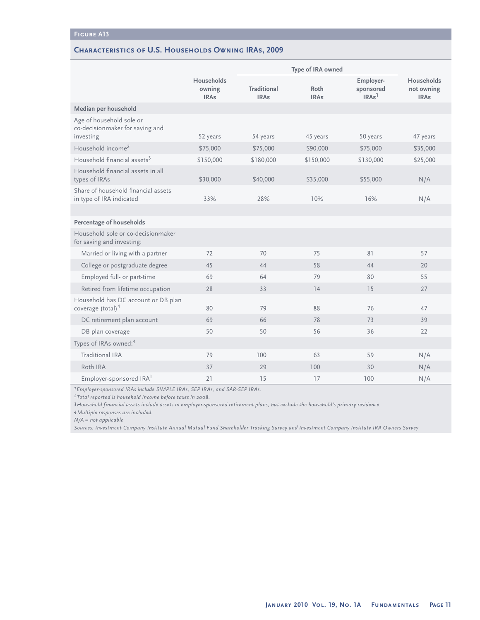### **Characteristics of U.S. Households Owning IRAs, 2009**

|                                                                          |                                            | Type of IRA owned                 |                     |                                             |                                         |
|--------------------------------------------------------------------------|--------------------------------------------|-----------------------------------|---------------------|---------------------------------------------|-----------------------------------------|
|                                                                          | <b>Households</b><br>owning<br><b>IRAs</b> | <b>Traditional</b><br><b>IRAs</b> | Roth<br><b>IRAs</b> | Employer-<br>sponsored<br>IRAs <sup>1</sup> | Households<br>not owning<br><b>IRAs</b> |
| Median per household                                                     |                                            |                                   |                     |                                             |                                         |
| Age of household sole or<br>co-decisionmaker for saving and<br>investing | 52 years                                   | 54 years                          | 45 years            | 50 years                                    | 47 years                                |
| Household income <sup>2</sup>                                            | \$75,000                                   | \$75,000                          | \$90,000            | \$75,000                                    | \$35,000                                |
| Household financial assets <sup>3</sup>                                  | \$150,000                                  | \$180,000                         | \$150,000           | \$130,000                                   | \$25,000                                |
| Household financial assets in all<br>types of IRAs                       | \$30,000                                   | \$40,000                          | \$35,000            | \$55,000                                    | N/A                                     |
| Share of household financial assets<br>in type of IRA indicated          | 33%                                        | 28%                               | 10%                 | 16%                                         | N/A                                     |
|                                                                          |                                            |                                   |                     |                                             |                                         |
| Percentage of households                                                 |                                            |                                   |                     |                                             |                                         |
| Household sole or co-decisionmaker<br>for saving and investing:          |                                            |                                   |                     |                                             |                                         |
| Married or living with a partner                                         | 72                                         | 70                                | 75                  | 81                                          | 57                                      |
| College or postgraduate degree                                           | 45                                         | 44                                | 58                  | 44                                          | 20                                      |
| Employed full- or part-time                                              | 69                                         | 64                                | 79                  | 80                                          | 55                                      |
| Retired from lifetime occupation                                         | 28                                         | 33                                | 14                  | 15                                          | 27                                      |
| Household has DC account or DB plan<br>coverage $(total)4$               | 80                                         | 79                                | 88                  | 76                                          | 47                                      |
| DC retirement plan account                                               | 69                                         | 66                                | 78                  | 73                                          | 39                                      |
| DB plan coverage                                                         | 50                                         | 50                                | 56                  | 36                                          | 22                                      |
| Types of IRAs owned: <sup>4</sup>                                        |                                            |                                   |                     |                                             |                                         |
| Traditional IRA                                                          | 79                                         | 100                               | 63                  | 59                                          | N/A                                     |
| Roth IRA                                                                 | 37                                         | 29                                | 100                 | 30                                          | N/A                                     |
| Employer-sponsored IRA <sup>1</sup>                                      | 21                                         | 15                                | 17                  | 100                                         | N/A                                     |

*1Employer-sponsored IRAs include SIMPLE IRAs, SEP IRAs, and SAR-SEP IRAs.*

*2Total reported is household income before taxes in 2008.*

*3Household financial assets include assets in employer-sponsored retirement plans, but exclude the household's primary residence.*

*4Multiple responses are included.* 

*N/A = not applicable* 

*Sources: Investment Company Institute Annual Mutual Fund Shareholder Tracking Survey and Investment Company Institute IRA Owners Survey*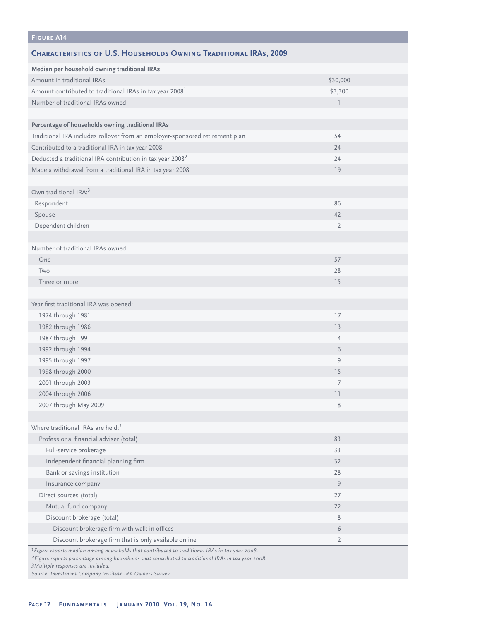| <b>FIGURE A14</b>                                                                                                                                                                                                            |                |
|------------------------------------------------------------------------------------------------------------------------------------------------------------------------------------------------------------------------------|----------------|
| <b>CHARACTERISTICS OF U.S. HOUSEHOLDS OWNING TRADITIONAL IRAS, 2009</b>                                                                                                                                                      |                |
| Median per household owning traditional IRAs                                                                                                                                                                                 |                |
| Amount in traditional IRAs                                                                                                                                                                                                   | \$30,000       |
| Amount contributed to traditional IRAs in tax year 2008 <sup>1</sup>                                                                                                                                                         | \$3,300        |
| Number of traditional IRAs owned                                                                                                                                                                                             | $\mathbb{I}$   |
|                                                                                                                                                                                                                              |                |
| Percentage of households owning traditional IRAs                                                                                                                                                                             |                |
| Traditional IRA includes rollover from an employer-sponsored retirement plan                                                                                                                                                 | 54             |
| Contributed to a traditional IRA in tax year 2008                                                                                                                                                                            | 24             |
| Deducted a traditional IRA contribution in tax year 2008 <sup>2</sup>                                                                                                                                                        | 24             |
| Made a withdrawal from a traditional IRA in tax year 2008                                                                                                                                                                    | 19             |
|                                                                                                                                                                                                                              |                |
| Own traditional IRA: <sup>3</sup>                                                                                                                                                                                            |                |
| Respondent                                                                                                                                                                                                                   | 86             |
| Spouse                                                                                                                                                                                                                       | 42             |
| Dependent children                                                                                                                                                                                                           | $\overline{2}$ |
|                                                                                                                                                                                                                              |                |
| Number of traditional IRAs owned:                                                                                                                                                                                            |                |
| One                                                                                                                                                                                                                          | 57             |
| Two                                                                                                                                                                                                                          | 28             |
| Three or more                                                                                                                                                                                                                | 15             |
|                                                                                                                                                                                                                              |                |
| Year first traditional IRA was opened:                                                                                                                                                                                       |                |
| 1974 through 1981                                                                                                                                                                                                            | 17             |
| 1982 through 1986                                                                                                                                                                                                            | 13             |
| 1987 through 1991                                                                                                                                                                                                            | 14             |
| 1992 through 1994                                                                                                                                                                                                            | 6              |
| 1995 through 1997                                                                                                                                                                                                            | 9              |
| 1998 through 2000                                                                                                                                                                                                            | 15             |
| 2001 through 2003                                                                                                                                                                                                            | $\overline{7}$ |
| 2004 through 2006                                                                                                                                                                                                            | 11             |
| 2007 through May 2009                                                                                                                                                                                                        | 8              |
|                                                                                                                                                                                                                              |                |
| Where traditional IRAs are held: <sup>3</sup>                                                                                                                                                                                |                |
| Professional financial adviser (total)                                                                                                                                                                                       | 83             |
| Full-service brokerage                                                                                                                                                                                                       | 33             |
| Independent financial planning firm                                                                                                                                                                                          | 32             |
| Bank or savings institution                                                                                                                                                                                                  | 28             |
| Insurance company                                                                                                                                                                                                            | 9              |
| Direct sources (total)                                                                                                                                                                                                       | 27             |
| Mutual fund company                                                                                                                                                                                                          | 22             |
| Discount brokerage (total)                                                                                                                                                                                                   | 8              |
| Discount brokerage firm with walk-in offices                                                                                                                                                                                 | 6              |
| Discount brokerage firm that is only available online                                                                                                                                                                        | $\overline{2}$ |
| <sup>1</sup> Figure reports median among households that contributed to traditional IRAs in tax year 2008.<br><sup>2</sup> Figure reports percentage among households that contributed to traditional IRAs in tax year 2008. |                |

*3Multiple responses are included.*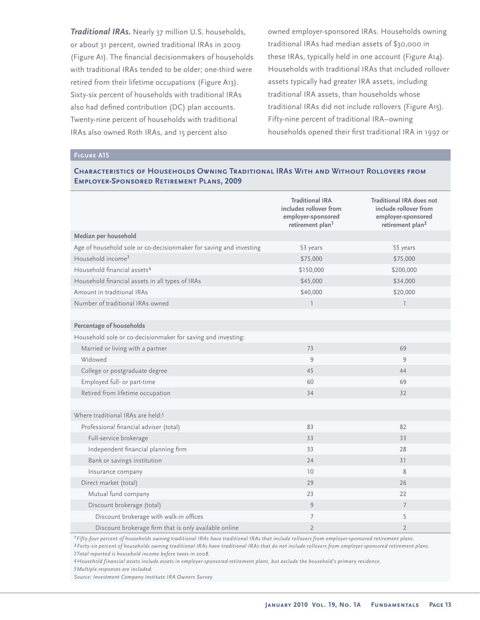*Traditional IRAs.* Nearly 37 million U.S. households, or about 31 percent, owned traditional IRAs in 2009 (Figure A1). The financial decisionmakers of households with traditional IRAs tended to be older; one-third were retired from their lifetime occupations (Figure A13). Sixty-six percent of households with traditional IRAs also had defined contribution (DC) plan accounts. Twenty-nine percent of households with traditional IRAs also owned Roth IRAs, and 15 percent also

owned employer-sponsored IRAs. Households owning traditional IRAs had median assets of \$30,000 in these IRAs, typically held in one account (Figure A14). Households with traditional IRAs that included rollover assets typically had greater IRA assets, including traditional IRA assets, than households whose traditional IRAs did not include rollovers (Figure A15). Fifty-nine percent of traditional IRA–owning households opened their first traditional IRA in 1997 or

#### **Figure A15**

### **Characteristics of Households Owning Traditional IRAs With and Without Rollovers from Employer-Sponsored Retirement Plans, 2009**

|                                                                    | <b>Traditional IRA</b><br>includes rollover from<br>employer-sponsored<br>retirement plan <sup>1</sup> | <b>Traditional IRA does not</b><br>include rollover from<br>employer-sponsored<br>retirement plan <sup>2</sup> |
|--------------------------------------------------------------------|--------------------------------------------------------------------------------------------------------|----------------------------------------------------------------------------------------------------------------|
| Median per household                                               |                                                                                                        |                                                                                                                |
| Age of household sole or co-decisionmaker for saving and investing | 53 years                                                                                               | 55 years                                                                                                       |
| Household income <sup>3</sup>                                      | \$75,000                                                                                               | \$75,000                                                                                                       |
| Household financial assets <sup>4</sup>                            | \$150,000                                                                                              | \$200,000                                                                                                      |
| Household financial assets in all types of IRAs                    | \$45,000                                                                                               | \$34,000                                                                                                       |
| Amount in traditional IRAs                                         | \$40,000                                                                                               | \$20,000                                                                                                       |
| Number of traditional IRAs owned                                   | $\mathbb{I}$                                                                                           | $\mathbb{I}$                                                                                                   |
|                                                                    |                                                                                                        |                                                                                                                |
| Percentage of households                                           |                                                                                                        |                                                                                                                |
| Household sole or co-decisionmaker for saving and investing:       |                                                                                                        |                                                                                                                |
| Married or living with a partner                                   | 73                                                                                                     | 69                                                                                                             |
| Widowed                                                            | 9                                                                                                      | 9                                                                                                              |
| College or postgraduate degree                                     | 45                                                                                                     | 44                                                                                                             |
| Employed full- or part-time                                        | 60                                                                                                     | 69                                                                                                             |
| Retired from lifetime occupation                                   | 34                                                                                                     | 32                                                                                                             |
|                                                                    |                                                                                                        |                                                                                                                |
| Where traditional IRAs are held: <sup>5</sup>                      |                                                                                                        |                                                                                                                |
| Professional financial adviser (total)                             | 83                                                                                                     | 82                                                                                                             |
| Full-service brokerage                                             | 33                                                                                                     | 33                                                                                                             |
| Independent financial planning firm                                | 33                                                                                                     | 28                                                                                                             |
| Bank or savings institution                                        | 24                                                                                                     | 31                                                                                                             |
| Insurance company                                                  | 10                                                                                                     | 8                                                                                                              |
| Direct market (total)                                              | 29                                                                                                     | 26                                                                                                             |
| Mutual fund company                                                | 23                                                                                                     | 22                                                                                                             |
| Discount brokerage (total)                                         | 9                                                                                                      | $\overline{7}$                                                                                                 |
| Discount brokerage with walk-in offices                            | 7                                                                                                      | 5                                                                                                              |
| Discount brokerage firm that is only available online              | $\overline{2}$                                                                                         | $\overline{2}$                                                                                                 |

*1Fifty-four percent of households owning traditional IRAs have traditional IRAs that include rollovers from employer-sponsored retirement plans.*

*2Forty-six percent of households owning traditional IRAs have traditional IRAs that do not include rollovers from employer-sponsored retirement plans. 3Total reported is household income before taxes in 2008.*

*4Household financial assets include assets in employer-sponsored retirement plans, but exclude the household's primary residence.*

*5Multiple responses are included.*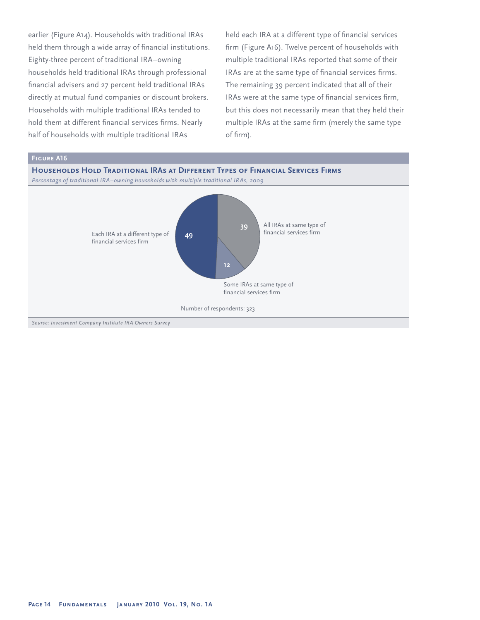earlier (Figure A14). Households with traditional IRAs held them through a wide array of financial institutions. Eighty-three percent of traditional IRA–owning households held traditional IRAs through professional financial advisers and 27 percent held traditional IRAs directly at mutual fund companies or discount brokers. Households with multiple traditional IRAs tended to hold them at different financial services firms. Nearly half of households with multiple traditional IRAs

held each IRA at a different type of financial services firm (Figure A16). Twelve percent of households with multiple traditional IRAs reported that some of their IRAs are at the same type of financial services firms. The remaining 39 percent indicated that all of their IRAs were at the same type of financial services firm, but this does not necessarily mean that they held their multiple IRAs at the same firm (merely the same type of firm).

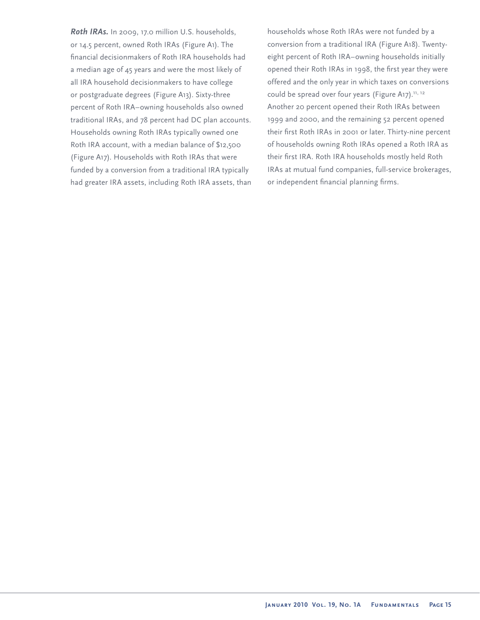*Roth IRAs.* In 2009, 17.0 million U.S. households, or 14.5 percent, owned Roth IRAs (Figure A1). The financial decisionmakers of Roth IRA households had a median age of 45 years and were the most likely of all IRA household decisionmakers to have college or postgraduate degrees (Figure A13). Sixty-three percent of Roth IRA–owning households also owned traditional IRAs, and 78 percent had DC plan accounts. Households owning Roth IRAs typically owned one Roth IRA account, with a median balance of \$12,500 (Figure A17). Households with Roth IRAs that were funded by a conversion from a traditional IRA typically had greater IRA assets, including Roth IRA assets, than households whose Roth IRAs were not funded by a conversion from a traditional IRA (Figure A18). Twentyeight percent of Roth IRA–owning households initially opened their Roth IRAs in 1998, the first year they were offered and the only year in which taxes on conversions could be spread over four years (Figure A17).<sup>11, 12</sup> Another 20 percent opened their Roth IRAs between 1999 and 2000, and the remaining 52 percent opened their first Roth IRAs in 2001 or later. Thirty-nine percent of households owning Roth IRAs opened a Roth IRA as their first IRA. Roth IRA households mostly held Roth IRAs at mutual fund companies, full-service brokerages, or independent financial planning firms.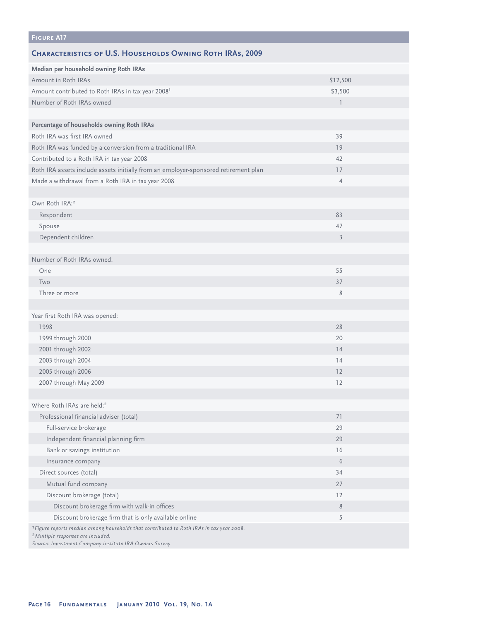| <b>FIGURE A17</b>                                                                                                                                                     |                |
|-----------------------------------------------------------------------------------------------------------------------------------------------------------------------|----------------|
| <b>CHARACTERISTICS OF U.S. HOUSEHOLDS OWNING ROTH IRAS, 2009</b>                                                                                                      |                |
| Median per household owning Roth IRAs                                                                                                                                 |                |
| Amount in Roth IRAs                                                                                                                                                   | \$12,500       |
| Amount contributed to Roth IRAs in tax year 2008 <sup>1</sup>                                                                                                         | \$3,500        |
| Number of Roth IRAs owned                                                                                                                                             | $\overline{1}$ |
|                                                                                                                                                                       |                |
| Percentage of households owning Roth IRAs                                                                                                                             |                |
| Roth IRA was first IRA owned                                                                                                                                          | 39             |
| Roth IRA was funded by a conversion from a traditional IRA                                                                                                            | 19             |
| Contributed to a Roth IRA in tax year 2008                                                                                                                            | 42             |
| Roth IRA assets include assets initially from an employer-sponsored retirement plan                                                                                   | 17             |
| Made a withdrawal from a Roth IRA in tax year 2008                                                                                                                    | $\overline{4}$ |
|                                                                                                                                                                       |                |
| Own Roth IRA: <sup>2</sup>                                                                                                                                            |                |
| Respondent                                                                                                                                                            | 83             |
| Spouse                                                                                                                                                                | 47             |
| Dependent children                                                                                                                                                    | $\overline{3}$ |
|                                                                                                                                                                       |                |
| Number of Roth IRAs owned:                                                                                                                                            |                |
| One                                                                                                                                                                   | 55             |
| Two                                                                                                                                                                   | 37             |
| Three or more                                                                                                                                                         | 8              |
|                                                                                                                                                                       |                |
| Year first Roth IRA was opened:                                                                                                                                       |                |
| 1998                                                                                                                                                                  | 28             |
| 1999 through 2000                                                                                                                                                     | 20             |
| 2001 through 2002                                                                                                                                                     | 14             |
| 2003 through 2004                                                                                                                                                     | 14             |
| 2005 through 2006                                                                                                                                                     | 12             |
| 2007 through May 2009                                                                                                                                                 | 12             |
|                                                                                                                                                                       |                |
| Where Roth IRAs are held: <sup>2</sup>                                                                                                                                |                |
| Professional financial adviser (total)                                                                                                                                | 71             |
| Full-service brokerage                                                                                                                                                | 29             |
| Independent financial planning firm                                                                                                                                   | 29             |
| Bank or savings institution                                                                                                                                           | 16             |
| Insurance company                                                                                                                                                     | 6              |
| Direct sources (total)                                                                                                                                                | 34             |
| Mutual fund company                                                                                                                                                   | 27             |
| Discount brokerage (total)                                                                                                                                            | 12             |
| Discount brokerage firm with walk-in offices                                                                                                                          | 8              |
| Discount brokerage firm that is only available online                                                                                                                 | 5              |
| <sup>1</sup> Figure reports median among households that contributed to Roth IRAs in tax year 2008.<br><sup>2</sup> Multiple responses are included.<br>$\frac{1}{2}$ |                |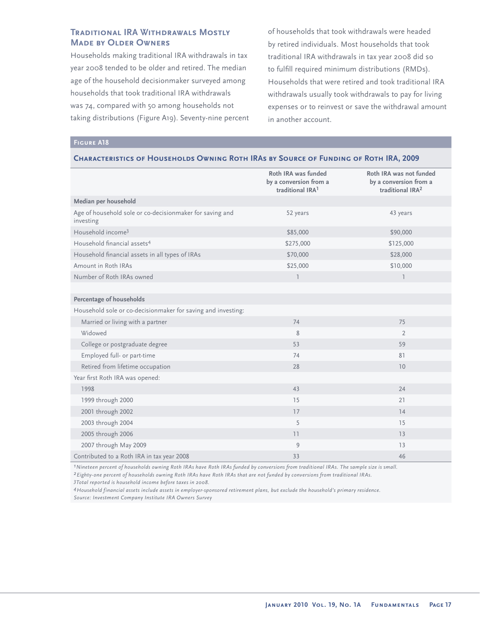# **Traditional IRA Withdrawals Mostly Made by Older Owners**

Households making traditional IRA withdrawals in tax year 2008 tended to be older and retired. The median age of the household decisionmaker surveyed among households that took traditional IRA withdrawals was 74, compared with 50 among households not taking distributions (Figure A19). Seventy-nine percent of households that took withdrawals were headed by retired individuals. Most households that took traditional IRA withdrawals in tax year 2008 did so to fulfill required minimum distributions (RMDs). Households that were retired and took traditional IRA withdrawals usually took withdrawals to pay for living expenses or to reinvest or save the withdrawal amount in another account.

#### **Figure A18**

#### **Characteristics of Households Owning Roth IRAs by Source of Funding of Roth IRA, 2009**

|                                                                       | Roth IRA was funded<br>by a conversion from a<br>traditional IRA <sup>1</sup> | Roth IRA was not funded<br>by a conversion from a<br>traditional IRA <sup>2</sup> |
|-----------------------------------------------------------------------|-------------------------------------------------------------------------------|-----------------------------------------------------------------------------------|
| Median per household                                                  |                                                                               |                                                                                   |
| Age of household sole or co-decisionmaker for saving and<br>investing | 52 years                                                                      | 43 years                                                                          |
| Household income <sup>3</sup>                                         | \$85,000                                                                      | \$90,000                                                                          |
| Household financial assets <sup>4</sup>                               | \$275,000                                                                     | \$125,000                                                                         |
| Household financial assets in all types of IRAs                       | \$70,000                                                                      | \$28,000                                                                          |
| Amount in Roth IRAs                                                   | \$25,000                                                                      | \$10,000                                                                          |
| Number of Roth IRAs owned                                             | $\overline{1}$                                                                | $\overline{1}$                                                                    |
|                                                                       |                                                                               |                                                                                   |
| Percentage of households                                              |                                                                               |                                                                                   |
| Household sole or co-decisionmaker for saving and investing:          |                                                                               |                                                                                   |
| Married or living with a partner                                      | 74                                                                            | 75                                                                                |
| Widowed                                                               | 8                                                                             | $\overline{2}$                                                                    |
| College or postgraduate degree                                        | 53                                                                            | 59                                                                                |
| Employed full- or part-time                                           | 74                                                                            | 81                                                                                |
| Retired from lifetime occupation                                      | 28                                                                            | 10                                                                                |
| Year first Roth IRA was opened:                                       |                                                                               |                                                                                   |
| 1998                                                                  | 43                                                                            | 24                                                                                |
| 1999 through 2000                                                     | 15                                                                            | 21                                                                                |
| 2001 through 2002                                                     | 17                                                                            | 14                                                                                |
| 2003 through 2004                                                     | 5                                                                             | 15                                                                                |
| 2005 through 2006                                                     | 11                                                                            | 13                                                                                |
| 2007 through May 2009                                                 | 9                                                                             | 13                                                                                |
| Contributed to a Roth IRA in tax year 2008                            | 33                                                                            | 46                                                                                |

*1Nineteen percent of households owning Roth IRAs have Roth IRAs funded by conversions from traditional IRAs. The sample size is small. 2Eighty-one percent of households owning Roth IRAs have Roth IRAs that are not funded by conversions from traditional IRAs.*

*3Total reported is household income before taxes in 2008.*

*4Household financial assets include assets in employer-sponsored retirement plans, but exclude the household's primary residence. Source: Investment Company Institute IRA Owners Survey*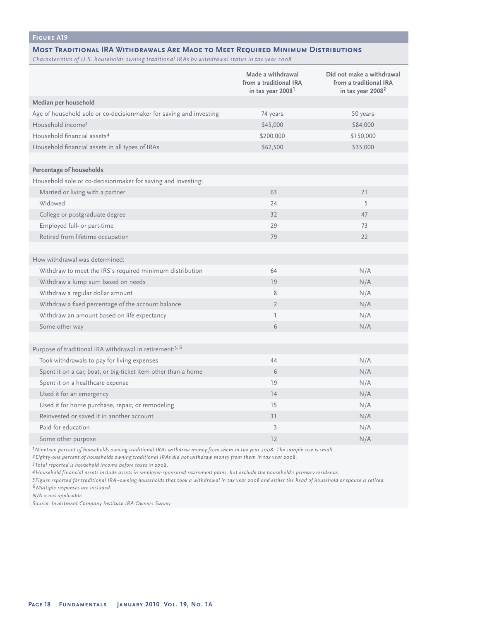# **Figure A19**

#### **Most Traditional IRA Withdrawals Are Made to Meet Required Minimum Distributions**

*Characteristics of U.S. households owning traditional IRAs by withdrawal status in tax year 2008*

|                                                                      | Made a withdrawal<br>from a traditional IRA<br>in tax year 2008 <sup>1</sup> | Did not make a withdrawal<br>from a traditional IRA<br>in tax year 2008 <sup>2</sup> |
|----------------------------------------------------------------------|------------------------------------------------------------------------------|--------------------------------------------------------------------------------------|
| Median per household                                                 |                                                                              |                                                                                      |
| Age of household sole or co-decisionmaker for saving and investing   | 74 years                                                                     | 50 years                                                                             |
| Household income <sup>3</sup>                                        | \$45,000                                                                     | \$84,000                                                                             |
| Household financial assets <sup>4</sup>                              | \$200,000                                                                    | \$150,000                                                                            |
| Household financial assets in all types of IRAs                      | \$62,500                                                                     | \$35,000                                                                             |
|                                                                      |                                                                              |                                                                                      |
| <b>Percentage of households</b>                                      |                                                                              |                                                                                      |
| Household sole or co-decisionmaker for saving and investing:         |                                                                              |                                                                                      |
| Married or living with a partner                                     | 63                                                                           | 71                                                                                   |
| Widowed                                                              | 24                                                                           | 5                                                                                    |
| College or postgraduate degree                                       | 32                                                                           | 47                                                                                   |
| Employed full- or part-time                                          | 29                                                                           | 73                                                                                   |
| Retired from lifetime occupation                                     | 79                                                                           | 22                                                                                   |
|                                                                      |                                                                              |                                                                                      |
| How withdrawal was determined:                                       |                                                                              |                                                                                      |
| Withdraw to meet the IRS's required minimum distribution             | 64                                                                           | N/A                                                                                  |
| Withdraw a lump sum based on needs                                   | 19                                                                           | N/A                                                                                  |
| Withdraw a regular dollar amount                                     | 8                                                                            | N/A                                                                                  |
| Withdraw a fixed percentage of the account balance                   | $\overline{2}$                                                               | N/A                                                                                  |
| Withdraw an amount based on life expectancy                          | 1                                                                            | N/A                                                                                  |
| Some other way                                                       | 6                                                                            | N/A                                                                                  |
|                                                                      |                                                                              |                                                                                      |
| Purpose of traditional IRA withdrawal in retirement: <sup>5, 6</sup> |                                                                              |                                                                                      |
| Took withdrawals to pay for living expenses                          | 44                                                                           | N/A                                                                                  |
| Spent it on a car, boat, or big-ticket item other than a home        | 6                                                                            | N/A                                                                                  |
| Spent it on a healthcare expense                                     | 19                                                                           | N/A                                                                                  |
| Used it for an emergency                                             | 14                                                                           | N/A                                                                                  |
| Used it for home purchase, repair, or remodeling                     | 15                                                                           | N/A                                                                                  |
| Reinvested or saved it in another account                            | 31                                                                           | N/A                                                                                  |
| Paid for education                                                   | 3                                                                            | N/A                                                                                  |
| Some other purpose                                                   | 12                                                                           | N/A                                                                                  |

*1Nineteen percent of households owning traditional IRAs withdrew money from them in tax year 2008. The sample size is small.*

*2Eighty-one percent of households owning traditional IRAs did not withdraw money from them in tax year 2008.*

*3Total reported is household income before taxes in 2008.*

*4Household financial assets include assets in employer-sponsored retirement plans, but exclude the household's primary residence.*

*5Figure reported for traditional IRA–owning households that took a withdrawal in tax year 2008 and either the head of household or spouse is retired. 6Multiple responses are included.*

*N/A = not applicable*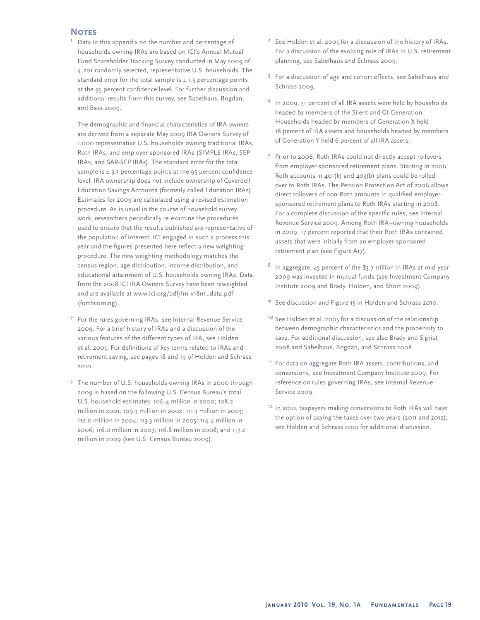#### **Notes** 1

 Data in this appendix on the number and percentage of households owning IRAs are based on ICI's Annual Mutual Fund Shareholder Tracking Survey conducted in May 2009 of 4,201 randomly selected, representative U.S. households. The standard error for the total sample is  $\pm$  1.5 percentage points at the 95 percent confidence level. For further discussion and additional results from this survey, see Sabelhaus, Bogdan, and Bass 2009.

The demographic and financial characteristics of IRA owners are derived from a separate May 2009 IRA Owners Survey of 1,000 representative U.S. households owning traditional IRAs, Roth IRAs, and employer-sponsored IRAs (SIMPLE IRAs, SEP IRAs, and SAR-SEP IRAs). The standard error for the total sample is  $\pm$  3.1 percentage points at the 95 percent confidence level. IRA ownership does not include ownership of Coverdell Education Savings Accounts (formerly called Education IRAs). Estimates for 2009 are calculated using a revised estimation procedure. As is usual in the course of household survey work, researchers periodically re-examine the procedures used to ensure that the results published are representative of the population of interest. ICI engaged in such a process this year and the figures presented here reflect a new weighting procedure. The new weighting methodology matches the census region, age distribution, income distribution, and educational attainment of U.S. households owning IRAs. Data from the 2008 ICI IRA Owners Survey have been reweighted and are available at www.ici.org/pdf/fm-v18n1\_data.pdf (forthcoming).

- <sup>2</sup> For the rules governing IRAs, see Internal Revenue Service 2009. For a brief history of IRAs and a discussion of the various features of the different types of IRA, see Holden et al. 2005. For definitions of key terms related to IRAs and retirement saving, see pages 18 and 19 of Holden and Schrass 2010.
- <sup>3</sup> The number of U.S. households owning IRAs in 2000 through 2009 is based on the following U.S. Census Bureau's total U.S. household estimates: 106.4 million in 2000; 108.2 million in 2001; 109.3 million in 2002; 111.3 million in 2003; 112.0 million in 2004; 113.3 million in 2005; 114.4 million in 2006; 116.0 million in 2007; 116.8 million in 2008; and 117.2 million in 2009 (see U.S. Census Bureau 2009).
- <sup>4</sup> See Holden et al. 2005 for a discussion of the history of IRAs. For a discussion of the evolving role of IRAs in U.S. retirement planning, see Sabelhaus and Schrass 2009.
- $5$  For a discussion of age and cohort effects, see Sabelhaus and Schrass 2009.
- <sup>6</sup> In 2009, 31 percent of all IRA assets were held by households headed by members of the Silent and GI Generation. Households headed by members of Generation X held 18 percent of IRA assets and households headed by members of Generation Y held 6 percent of all IRA assets.
- <sup>7</sup> Prior to 2006, Roth IRAs could not directly accept rollovers from employer-sponsored retirement plans. Starting in 2006, Roth accounts in 401(k) and 403(b) plans could be rolled over to Roth IRAs. The Pension Protection Act of 2006 allows direct rollovers of non-Roth amounts in qualified employersponsored retirement plans to Roth IRAs starting in 2008. For a complete discussion of the specific rules, see Internal Revenue Service 2009. Among Roth IRA–owning households in 2009, 17 percent reported that their Roth IRAs contained assets that were initially from an employer-sponsored retirement plan (see Figure A17).
- In aggregate, 45 percent of the \$3.7 trillion in IRAs at mid-year 2009 was invested in mutual funds (see Investment Company Institute 2009 and Brady, Holden, and Short 2009).
- <sup>9</sup> See discussion and Figure 15 in Holden and Schrass 2010.
- <sup>10</sup> See Holden et al. 2005 for a discussion of the relationship between demographic characteristics and the propensity to save. For additional discussion, see also Brady and Sigrist 2008 and Sabelhaus, Bogdan, and Schrass 2008.
- <sup>11</sup> For data on aggregate Roth IRA assets, contributions, and conversions, see Investment Company Institute 2009. For reference on rules governing IRAs, see Internal Revenue Service 2009.
- <sup>12</sup> In 2010, taxpayers making conversions to Roth IRAs will have the option of paying the taxes over two years (2011 and 2012); see Holden and Schrass 2010 for additional discussion.